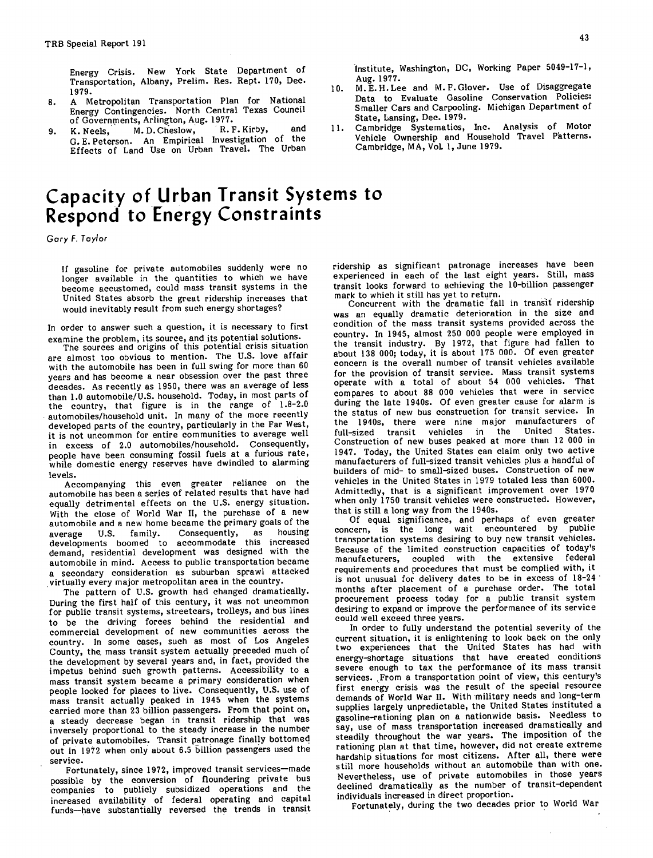Energy Crisis. New York State Department of Transportation, Albany, Prelim. Res. Rept. 170, Dec. 1979. 10.

- A Metropolitan Transportation Plan for National 8. Energy Contingencies. North Central Texas Council of Governments, Arlington, Aug. 1977.<br>K. Neels. M. D. Cheslow. R. F. Kirby,
- K. Neels, M. D. Cheslow, R. F. Kirby, and 11. 9. G. E. Peterson. An Empirical Investigation of the Effects of Land Use on Urban Travel. The Urban

# Capacity of, Urban Transit Systems to Respond to Energy Constraints

Gory F. Taylor

If gasoline for private automobiles suddenly were no longer available in the quantities to which we have become accustomed, could mass transit systems in the United States absorb the great ridership increases that would inevitably result from such energy shortages?

In order to answer such a question, it is necessary to first examine the problem, its source, and its potential solutions.

The sources and origins of this potential crisis situation are almost too obvious to mention. The U.S. love affair with the automobile has been in full swing for more than 60 years and has become a near obsession over the past three decades. As recently as 1950, there was an average of less than 1.0 automobile/U.S. household. Today, in most parts of the country, that figure is in the range of 1.8-2.0 automobiles/household unit. In many of the more recently developed parts of the country, particularly in the Far West, it is not uncommon for entire communities to average well in excess of 2.0 automobiles/household. Consequently, people have been consuming fossil fuels at a furious rate, while domestic energy reserves have dwindled to alarming levels.

Accompanying this even greater reliance on the automobile has been a series of related results that have had equally detrimental effects on the U.S. energy situation. With the close of World War II, the purchase of a new automobile and a new home became the primary goals of the average U.S. family. Consequently, as housing average U.S. family. Consequently, as housing<br>developments boomed to accommodate this increased demand, residential development was designed with the automobile in mind. Access to public transportation became a secondary consideration as suburban sprawl attacked virtually every major metropolitan area in the country.

The pattern of U.S. growth had changed dramatically. During the first half of this century, it was not uncommon for public transit systems, streetcars, trolleys, and bus lines to be the driving forces behind the residential and commercial development of new communities across the country. In some cases, such as most of Los Angeles County, the, mass transit system actually preceded much of the development by several years and, in fact, provided the impetus behind such growth patterns. Accessibility to a mass transit system became a primary consideration when people looked for places to live. Consequently, U.S. use of mass transit actually peaked in 1945 when the systems carried more than 23 billion passengers. From that point on, a steady decrease began in transit ridership that was inversely proportional to the steady increase in the number of private automobiles. Transit patronage finally bottomed out in 1972 when only about 6.5 billion passengers used the service.

Fortunately, since 1972, improved transit services—made possible by the conversion of floundering private bus companies to publicly subsidized operations and the increased availability of federal operating and capital funds—have substantially reversed the trends in transit Institute, Washington, DC, Working Paper 5049-17-1, Aug. 1977.

- M.E.H.Lee and M.F.Glover. Use of Disaggregate Data to Evaluate Gasoline Conservation Policies: Smaller Cars and Carpooling. Michigan Department of State, Lansing, Dec. 1979.
- Cambridge Systematios, Inc. Analysis of Motor Vehicle Ownership and Household Travel Patterns. Cambridge, MA, Vol. 1, June 1979.

ridership as significant patronage increases have been experienced in each of the last eight years. Still, mass transit looks forward to achieving the 10-billion passenger mark to which it still has yet to return. Concurrent with the dramatic fall in transit ridership

was an equally dramatic deterioration in the size and condition of the mass transit systems provided across the country. In 1945, almost 250 000 people were employed in the transit industry. By 1972, that figure had fallen to about 138 000; today, it is about 175 000. Of even greater concern is the overall number of transit vehicles available for the provision of transit service. Mass transit systems operate with a total of about 54 000 vehicles. That compares to about 88 000 vehicles that were in service during the late 1940s. Of even greater cause for alarm is the status of new bus construction for transit service. In the 1940s, there were nine major manufacturers of full-sized transit vehicles in the United States. full-sized transit vehicles in the Construction of new buses peaked at more than 12 000 in 1947. Today, the United States can claim only two active manufacturers of full-sized transit vehicles plus a handful of builders of mid- to small-sized buses. Construction of new vehicles in the United States in 1979 totaled less than 6000. Admittedly, that is a significant improvement over 1970 when only 1750 transit vehicles were constructed. However, that is still a long way from the 1940s.

Of equal significance, and perhaps of even greater concern, is the long wait encountered by transportation systems desiring to buy new transit vehicles. Because of the limited construction capacities of today's manufacturers, coupled with the extensive federal requirements and procedures that must be complied with, it is not unusual for delivery dates to be in excess of 18-24 months after placement of a purchase order. The total procurement process today for a public transit system desiring to expand or improve the performance of its service could well exceed three years.

In order to fully understand the potential severity of the current situation, it is enlightening to look back on the only two experiences that the United States has had with energy-shortage situations that have created conditions severe enough to tax the performance of its mass transit services. From a transportation point of view, this century's first energy crisis was the result of the special resource demands of World War II. With military needs and long-term supplies largely unpredictable, the United States instituted a gasoline-rationing plan on a nationwide basis. Needless to say, use of mass transportation increased dramatically and steadily throughout the war years. The imposition of the rationing plan at that time, however, did not create extreme hardship situations for most citizens. After all, there were still more households without an automobile than with one. Nevertheless, use of private automobiles in those years declined dramatically as the number of transit-dependent individuals increased in direct proportion.

Fortunately, during the two decades prior to World War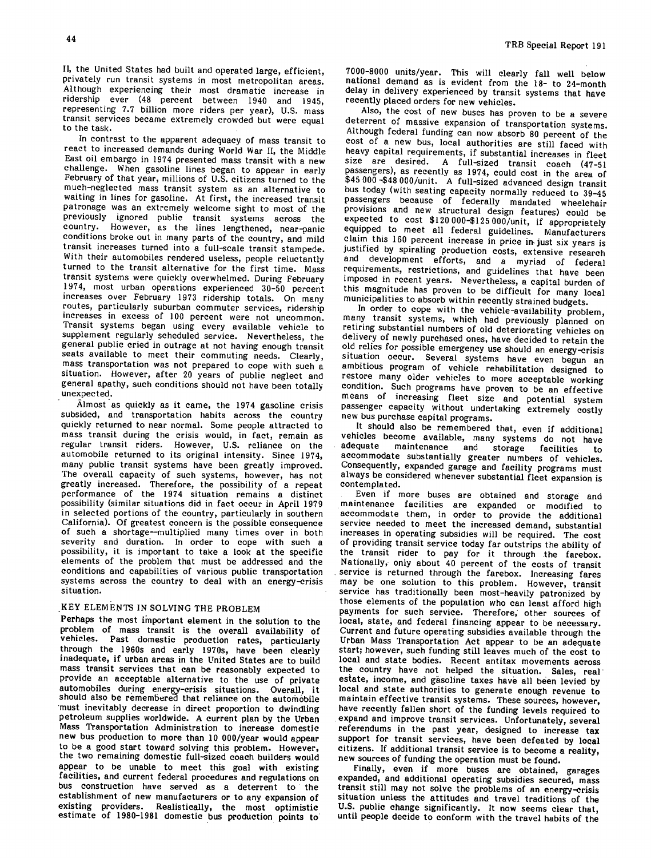II, the United States had built and operated large, efficient, privately run transit systems in most metropolitan areas. Although experiencing their most dramatic increase in ridership ever (48 percent between 1940 and 1945, representing 7.7 billion more riders per year), U.S. mass transit services became extremely crowded but were equal to the task.

In contrast to the apparent adequacy of mass transit to react to increased demands during World War II, the Middle East oil embargo in 1974 presented mass transit with a new challenge. When gasoline lines began to appear in early February of that year, millions of U.S. citizens turned to the much-neglected mass transit system as an alternative to waiting in lines for gasoline. At first, the increased transit patronage was an extremely welcome sight to most of the previously ignored public transit systems across the country. However, as the lines lengthened, near-panic conditions broke out in many parts of the country, and mild transit increases turned into a full-scale transit stampede. With their automobiles rendered useless, people reluctantly turned to the transit alternative for the first time. Mass transit systems were quickly overwhelmed. During February 1974, most urban operations experienced 30-50 percent increases over February 1973 ridership totals. On many routes, particularly suburban commuter services, ridership increases in excess of 100 percent were not uncommon. Transit systems began using every available vehicle to supplement regularly scheduled service. Nevertheless, the general public cried in outrage at not having enough transit seats available to meet their commuting needs. Clearly, mass transportation was not prepared to cope with such a situation. However, after 20 years of public neglect and general apathy, such conditions should not have been totally unexpected.

Almost as quickly as it came, the 1974 gasoline crisis subsided, and transportation habits across the country quickly returned to near normal. Some people attracted to mass transit during the crisis would, in fact, remain as regular transit riders. However, U.S. reliance on the automobile returned to its original intensity. Since 1974, many public transit systems have been greatly improved. The overall capacity of such systems, however, has not greatly increased. Therefore, the possibility of a repeat performance of the 1974 situation remains a distinct possibility (similar situations did in fact occur in April 1979 in selected portions of the country, particularly in southern California). Of greatest concern is the possible consequence of such a shortage—multiplied many times over in both severity and duration. In order to cope with such a possibility, it is important to take a look at the specific elements of the problem that must be addressed and the conditions and capabilities of various public transportation systems across the country to deal with an energy-crisis situation.

# KEY ELEMENTS IN SOLVING THE PROBLEM

Perhaps the most important element in the solution to the problem of mass transit is the overall availability of vehicles. Past domestic production rates, particularly through the 1960s and early 1970s, have been clearly inadequate, if urban areas in the United States are to build mass transit services that can be reasonably expected to provide an acceptable alternative to the use of private automobiles during energy-crisis situations. Overall, it should also be remembered that reliance on the automobile must inevitably decrease in direct proportion to dwindling petroleum supplies worldwide. A current plan by the Urban Mass Transportation Administration to increase domestic new bus production to more than 10 000/year would appear to be a good start toward solving this problem. However, the two remaining domestic full-sized coach builders would appear to be unable to meet this goal with existing facilities, and current federal procedures and regulations on bus construction have served as a deterrent to the establishment of new manufacturers or to any expansion of existing providers. Realistically, the most optimistic estimate of 1980-1981 domestic bus production points to 7000-8000 units/year. This will clearly fall well below national demand as is evident from the 18- to 24-month delay in delivery experienced by transit systems that have recently placed orders for new vehicles.

Also, the cost of new buses has proven to be a severe deterrent of massive expansion of transportation systems. Although federal funding can now absorb 80 percent of the cost of a new bus, local authorities are still faced with heavy capital requirements, if substantial increases in fleet size are desired. A full-sized transit coach (47-51 passengers), as recently as 1974, could cost in the area of \$45 000 -\$48 000/unit. A full-sized advanced design transit bus today (with seating capacity normally reduced to 39-45 passengers because of federally mandated wheelchair provisions and new structural design features) could be expected to cost \$120 000-\$125 000/unit, if appropriately equipped to meet all federal guidelines. Manufacturers claim this 160 percent increase in price in.just six years is justified by spiraling production costs, extensive research and development efforts, and a myriad of federal requirements, restrictions, and guidelines that have been imposed in recent years. Nevertheless, a capital burden of this magnitude has proven to be difficult for many local municipalities to absorb within recently strained budgets.

In order to cope with the vehicle-availability problem, many transit systems, which had previously planned on retiring substantial numbers of old deteriorating vehicles on delivery of newly purchased ones, have decided to retain the old relics for possible emergency use should an energy-crisis situation occur. Several systems have even begun an ambitious program of vehicle rehabilitation designed to restore many older vehicles to more acceptable working condition. Such programs have proven to be an effective means of increasing fleet size and potential system passenger capacity without undertaking extremely costly new bus purchase capital programs.

It should also be remembered that, even if additional vehicles become available, many systems do not have<br>adequate maintenance and storage feollities to maintenance and storage facilities to accommodate substantially greater numbers of vehicles. Consequently, expanded garage and facility programs must always be considered whenever substantial fleet expansion is contemplated.

Even if more buses are obtained and storage and maintenance facilities are expanded or modified to accommodate them, in order to provide the additional service needed to meet the increased demand, substantial increases in operating subsidies will be required. The cost of providing transit service today far outstrips the ability of the transit rider to pay for it through the farebox. Nationally, only about 40 percent of the costs of transit service is returned through the farebox. Increasing fares may be one solution to this problem. However, transit service has traditionally been most-heavily patronized by those elements of the population who can least afford high payments for such service. Therefore, other sources of local, state, and federal financing appear to be necessary. Current and future operating subsidies available through the Urban Mass Transportation Act appear to be an adequate start; however, such funding still leaves much of the cost to local and state bodies. Recent antitax movements across the country have not helped the situation. Sales, real estate, income, and gasoline taxes have all been levied by local and state authorities to generate enough revenue to maintain effective transit systems. These sources, however, have recently fallen short of the funding levels required to expand and improve transit services. Unfortunately, several referendums in the past year, designed to increase tax support for transit services, have been defeated by local citizens. If additional transit service is to become a reality, new sources of funding the operation must be found.

Finally, even if more buses are obtained, garages expanded, and additional operating subsidies secured, mass transit still may not solve the problems of an energy-crisis situation unless the attitudes and travel traditions of the U.S. public change significantly. It now seems clear that, until people decide to conform with the travel habits of the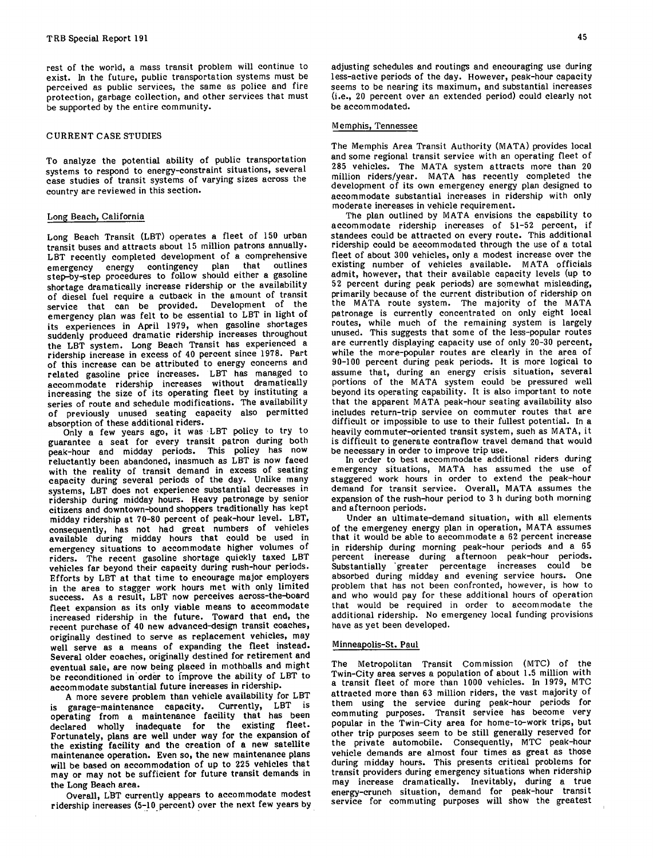rest of the world, a mass transit problem will continue to exist. In the future, public transportation systems must be perceived as public services, the same as police and fire protection, garbage collection, and other services that must be supported by the entire community.

## CURRENT CASE STUDIES

To analyze the potential ability of public transportation systems to respond to energy-constraint situations, several case studies of transit systems of varying sizes across the country are reviewed in this section.

## Long Beach, California

Long Beach Transit (LBT) operates a fleet of 150 urban transit buses and attracts about 15 million patrons annually. LBT recently completed development of a comprehensive<br>comprehensive continues and that outlines emergency energy contingency plan that step-by-step procedures to follow should either a gasoline shortage dramatically increase ridership or the availability of diesel fuel require a cutback in the amount of transit service that can be provided. Development of the emergency plan was felt to be essential to LBT in light of its experiences in April 1979, when gasoline shortages suddenly produced dramatic ridership increases throughout the LBT system. Long Beach Transit has experienced a ridership increase in excess of 40 percent since 1978. Part of this increase can be attributed to energy concerns and related gasoline price increases. LBT has managed to accommodate ridership increases without dramatically increasing the size of its operating fleet by instituting a series of route and schedule modifications. The availability of previously unused seating capacity also permitted absorption of these additional riders.

Only a few years ago, it was LBT policy to try to guarantee a seat for every transit patron during both peak-hour and midday periods. This policy has now reluctantly been abandoned, inasmuch as LBT is now faced with the reality of transit demand in excess of seating capacity during several periods of the day. Unlike many systems, LBT does not experience substantial decreases in ridership during midday hours. Heavy patronage by senior citizens and downtown-bound shoppers traditionally has kept midday ridership at 70-80 percent of peak-hour level. LBT, consequently, has not had great numbers of vehicles available during midday hours that could be used in emergency situations to accommodate higher volumes of riders. The recent gasoline shortage quickly taxed LBT vehicles far beyond their capacity during rush-hour periods. Efforts by LBT at that time to encourage major employers in the area to stagger work hours met with only limited success. As a result, LBT now perceives across-the-board fleet expansion as its only viable means to accommodate increased ridership in the future. Toward that end, the recent purchase of 40 new advanced-design transit coaches, originally destined to serve as replacement vehicles, may well serve as a means of expanding the fleet instead. Several older coaches, originally destined for retirement and eventual sale, are now being placed in mothballs and might be reconditioned in order to improve the ability of LBT to accommodate substantial future increases in ridership.

A more severe problem than vehicle availability for LBT is garage-maintenance capacity. Currently, LBT is operating from a maintenance facility that has been declared wholly inadequate for the existing fleet. Fortunately, plans are well under way for the expansion of the existing facility and the creation of a new satellite maintenance operation. Even so, the new maintenance plans will be based on accommodation of up to 225 vehicles that may or may not be sufficient for future transit demands in the Long Beach area.

Overall, LBT currently appears to accommodate modest ridership increases (5-10 percent) over the next few years by adjusting schedules and routings and encouraging use during less-active periods of the day. However, peak-hour capacity seems to be nearing its maximum, and substantial increases (i.e., 20 percent over an extended period) could clearly not be accommodated.

#### Memphis, Tennessee

The Memphis Area Transit Authority (MATA) provides local and some regional transit service with an operating fleet of 285 vehicles. The MATA system attracts more than 20 million riders/year. MATA has recently completed the development of its own emergency energy plan designed to accommodate substantial increases in ridership with only moderate increases in vehicle requirement.

The plan outlined by MATA envisions the capability to accommodate ridership increases of 51-52 percent, if standees could be attracted on every route. This additional ridership could be accommodated through the use of a total fleet of about 300 vehicles, only a modest increase over the existing number of vehicles available. MATA officials admit, however, that their available capacity levels (up to 52 percent during peak periods) are somewhat misleading, primarily because of the current distribution of ridership on the MATA route system. The majority of the MATA patronage is currently concentrated on only eight local routes, while much of the remaining system is largely unused. This suggests that some of the less-popular routes are currently displaying capacity use of only 20-30 percent, while the more-popular routes are clearly in the area of 90-100 percent during peak periods. It is more logical to assume that, during an energy crisis situation, several portions of the MATA system could be pressured well beyond its operating capability. It is also important to note that the apparent MATA peak-hour seating availability also includes return-trip service on commuter routes that are difficult or impossible to use to their fullest potential. In a heavily commuter-oriented transit system, such as MATA, it is difficult to generate contraflow travel demand that would be necessary in order to improve trip use.

In order to best accommodate additional riders during emergency situations, MATA has assumed the use of staggered work hours in order to extend the peak-hour demand for transit service. Overall, MATA assumes the expansion of the rush-hour period to 3 h during both morning and afternoon periods.

Under an ultimate-demand situation, with all elements of the emergency energy plan in operation, MATA assumes that it would be able to accommodate a 62 percent increase in ridership during morning peak-hour periods and a 65 percent increase during afternoon peak-hour periods. Substantially greater percentage increases could be absorbed during midday and evening service hours. One problem that has not been confronted, however, is how to and who would pay for these additional hours of operation that would be required in order to accommodate the additional ridership. No emergency local funding provisions have as yet been developed.

## Minneapolis-St. Paul

The Metropolitan Transit Commission (MTC) of the Twin-City area serves a population of about 1.5 million with a transit fleet of more than 1000 vehicles. In 1979, MTC attracted more than 63 million riders, the vast majority of them using the service during peak-hour periods for commuting purposes. Transit service has become very popular in the Twin-City area for home-to-work trips, but other trip purposes seem to be still generally reserved for the private automobile. Consequently, MTC peak-hour vehicle demands are almost four times as great as those during midday hours. This presents critical problems for transit providers during emergency situations when ridership may increase dramatically. Inevitably, during a true energy-crunch situation, demand for peak-hour transit service for commuting purposes will show the greatest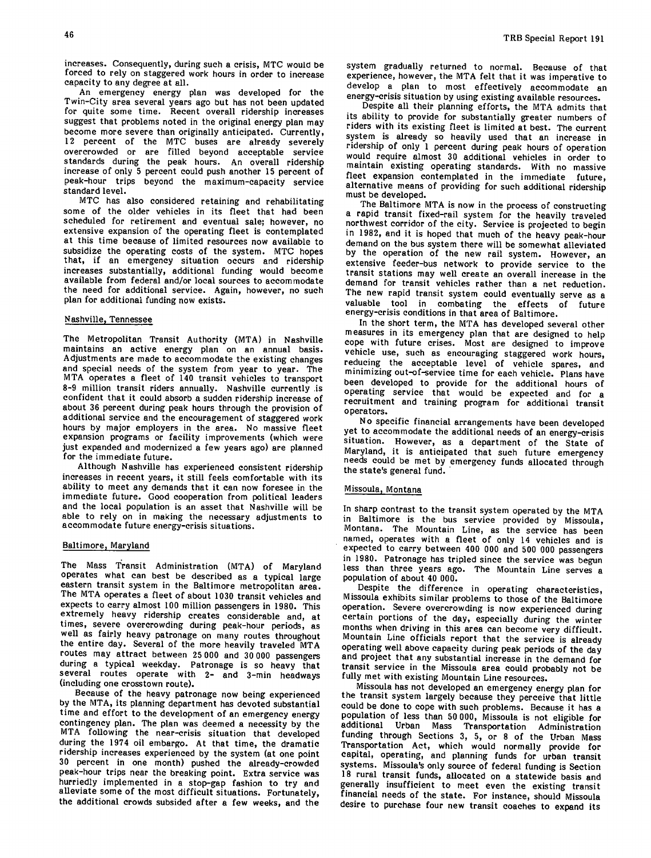increases. Consequently, during such a crisis, MTC would be forced to rely on staggered work hours in order to increase capacity to any degree at all.

An emergency energy plan was developed for the Twin-City area several years ago but has not been updated for quite some time. Recent overall ridership increases suggest that problems noted in the original energy plan may become more severe than originally anticipated. Currently, 12 percent of the MTC buses are already severely overcrowded or are filled beyond acceptable service standards during the peak hours. An overall ridership increase of only 5 percent could push another 15 percent of peak-hour trips beyond the maximum-capacity service standard level.

MTC has also considered retaining and rehabilitating some of the older vehicles in its fleet that had been scheduled for retirement and eventual sale; however, no extensive expansion of the operating fleet is contemplated at this time because of limited resources now available to subsidize the operating costs of the system. MTC hopes that, if an emergency situation occurs and ridership increases substantially, additional funding would become available from federal and/or local sources to accommodate the need for additional service. Again, however, no such plan for additional funding now exists.

## Nashville, Tennessee

The Metropolitan Transit Authority (MTA) in Nashville maintains an active energy plan on an annual basis. Adjustments are made to accommodate the existing changes and special needs of the system from year to year. The MTA operates a fleet of 140 transit vehicles to transport 8-9 million transit riders annually. Nashville currently is confident that it could absorb a sudden ridership increase of about 36 percent during peak hours through the provision of additional service and the encouragement of staggered work hours by major employers in the area. No massive fleet expansion programs or facility improvements (which were just expanded and modernized a few years ago) are planned for the immediate future.

Although Nashville has experienced consistent ridership increases in recent years, it still feels comfortable with its ability to meet any demands that it can now foresee in the immediate future. Good cooperation from political leaders and the local population is an asset that Nashville will be able to rely on in making the necessary adjustments to accommodate future energy-crisis situations.

#### Baltimore, Maryland

The Mass Transit Administration (MTA) of Maryland operates what can best be described as a typical large eastern transit system in the Baltimore metropolitan area. The MTA operates a fleet of about 1030 transit vehicles and expects to carry almost 100 million passengers in 1980. This extremely heavy ridership creates considerable and, at times, severe overcrowding during peak-hour periods, as well as fairly heavy patronage on many routes throughout the entire day. Several of the more heavily traveled MTA routes may attract between 25000 and 30 000 passengers during a typical weekday. Patronage is so heavy that several routes operate with 2- and 3-min headways (including one crosstown route).

Because of the heavy patronage now being experienced by the MTA, its planning department has devoted substantial time and effort to the development of an emergency energy contingency plan. The plan was deemed a necessity by the MTA following the near-crisis situation that developed during the 1974 oil embargo. At that time, the dramatic ridership increases experienced by the system (at one point 30 percent in one month) pushed the already-crowded peak-hour trips near the breaking point. Extra service was hurriedly implemented in a stop-gap fashion to try and alleviate some of the most difficult situations. Fortunately, the additional crowds subsided after a few weeks, and the system gradually returned to normal. Because of that experience, however, the MTA felt that it was imperative to develop a plan to most effectively accommodate an energy-crisis situation by using existing available resources.

Despite all their planning efforts, the MTA admits that its ability to provide for substantially greater numbers of riders with its existing fleet is limited at best. The current system is already so heavily used that an increase in ridership of only 1 percent during peak hours of operation would require almost 30 additional vehicles in order to maintain existing operating standards. With no massive fleet expansion contemplated in the immediate future, alternative means of providing for such additional ridership must be developed.

The Baltimore MTA is now in the process of constructing a rapid transit fixed-rail system for the heavily traveled northwest corridor of the city. Service is projected to begin in 1982, and it is hoped that much of the heavy peak-hour demand on the bus system there will be somewhat alleviated by the operation of the new rail system. However, an extensive feeder-bus network to provide service to the transit stations may well create an overall increase in the demand for transit vehicles rather than a net reduction. The new rapid transit system could eventually serve as a valuable tool in combating the effects of future energy-crisis conditions in that area of Baltimore.

In the short term, the MTA has developed several other measures in its emergency plan that are designed to help cope with future crises. Most are designed to improve vehicle use, such as encouraging staggered work hours, reducing the acceptable level of vehicle spares, and minimizing out-of-service time for each vehicle. Plans have been developed to provide for the additional hours of operating service that would be expected and for a recruitment and training program for additional transit operators.

No specific financial arrangements have been developed yet to accommodate the additional needs of an energy-crisis situation. However, as a department of the State of Maryland, it is anticipated that such future emergency needs could be met by emergency funds allocated through the state's general fund.

#### Missoula, Montana

In sharp contrast to the transit system operated by the MTA in Baltimore is the bus service provided by Missoula, Montana. The Mountain Line, as the service has been named, operates with a fleet of only 14 vehicles and is expected to carry between 400 000 and 500 000 passengers in 1980. Patronage has tripled since the service was begun less than three years ago. The Mountain Line serves a population of about 40 000.

Despite the difference in operating characteristics, Missoula exhibits similar problems to those of the Baltimore operation. Severe overcrowding is now experienced during certain portions of the day, especially during the winter months when driving in this area can become very difficult. Mountain Line officials report that the service is already operating well above capacity during peak periods of the day and project that any substantial increase in the demand for transit service in the Missoula area could probably not be fully met with existing Mountain Line resources.

Missoula has not developed an emergency energy plan for the transit system largely because they perceive that little could be done to cope with such problems. Because it has a population of less than 50 000, Missoula is not eligible for additional Urban Mass Transportation Administration funding through Sections 3, 5, or 8 of the Urban Mass Transportation Act, which would normally provide for capital, operating, and planning funds for urban transit systems. Missoula's only source of federal funding is Section 18 rural transit funds, allocated on a statewide basis and generally insufficient to meet even the existing transit financial needs of the state. For instance, should Missoula desire to purchase four new transit coaches to expand its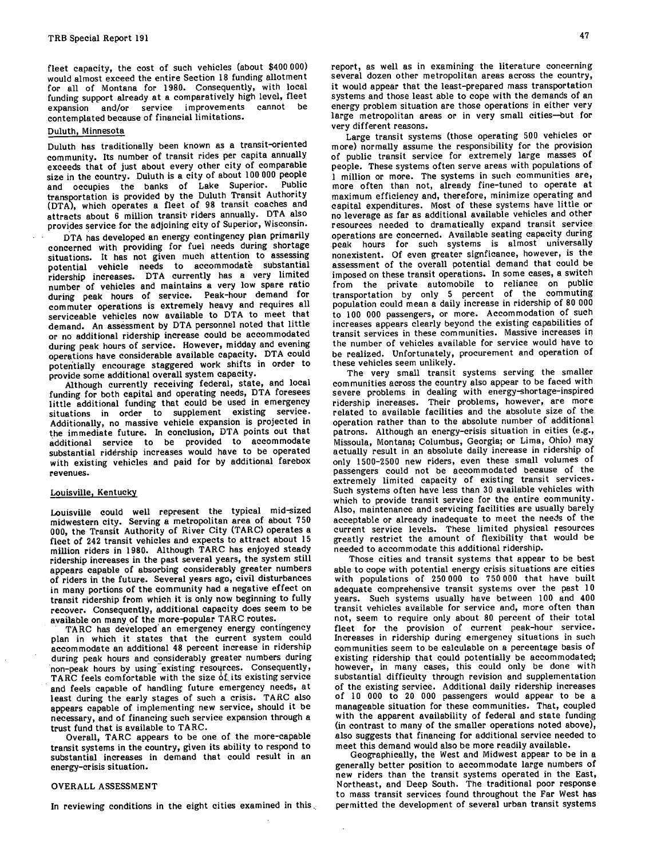fleet capacity, the cost of such vehicles (about \$400 000) would almost exceed the entire Section 18 funding allotment for all of Montana for 1980. Consequently, with local funding support already at a comparatively high level, fleet expansion and/or service improvements cannot be contemplated because of financial limitations.

#### Duluth, Minnesota

Duluth has traditionally been known as a transit-oriented community. Its number of transit rides per capita annually exceeds that of just about every other city of comparable size in the country. Duluth is a city of about 100 000 people and occupies the banks of Lake Superior. transportation is provided by the Duluth Transit Authority (DTA), which operates a fleet of 98 transit coaches and attracts about 6 million transit riders annually. DTA also provides service for the adjoining city of Superior, Wisconsin.

DTA has developed an energy contingency plan primarily concerned with providing for fuel needs during shortage situations. It has not given much attention to assessing potential vehicle needs to accommodate substantial ridership increases. DTA currently has a very limited number of vehicles and maintains a very low spare ratio during peak hours of service. Peak-hour demand for commuter operations is extremely heavy and requires all serviceable vehicles now available to DTA to meet that demand. An assessment by DTA personnel noted that little or no additional ridership increase could be accommodated during peak hours of service. However, midday and evening operations have considerable available capacity. DTA could potentially encourage staggered work shifts in order to provide some additional overall system capacity.

Although currently receiving federal, state, and local funding for both capital and operating needs, DTA foresees little additional funding that could be used in emergency situations in order to supplement existing service. Additionally, no massive vehicle expansion is projected in the immediate future. In conclusion, DTA points out that additional service to be provided to accommodate substantial ridérship increases would have to be operated with existing vehicles and paid for by additional farebox revenues.

### Louisville, Kentucky

Louisville could well represent the typical mid-sized midwestern city. Serving a metropolitan area of about 750 000, the Transit Authority of River City (TARC) operates a fleet of 242 transit vehicles and expects to attract about 15 million riders in 1980. Although TARC has enjoyed steady ridership increases in the past several years, the system still appears capable of absorbing considerably greater numbers of riders in the future. Several years ago, civil disturbances in many portions of the community had a negative effect on transit ridership from which it is only now beginning to fully recover. Consequently, additional capacity does seem to be available on many of the more-popular TARC routes.

TARC has developed an emergency energy contingency plan in which it states that the current system could accommodate an additional 48 percent increase in ridership during peak hours and considerably greater numbers during non-peak hours by using existing resources. Consequently, TARC feels comfortable with the size of its existing service and feels capable of handling future emergency needs, at least during the early stages of such a crisis. TARC also appears capable of implementing new service, should it be necessary, and of financing such service expansion through a trust fund that is available to TARC.

Overall, TARC appears to be one of the more-capable transit systems in the country, given its ability to respond to substantial increases in demand that could result in an energy-crisis situation.

#### OVERALL ASSESSMENT

In reviewing conditions in the eight cities examined in this

report, as well as in examining the literature concerning several dozen other metropolitan areas across the country, it would appear that the least-prepared mass transportation systems and those least able to cope with the demands of an energy problem situation are those operations in either very large metropolitan areas or in very small cities—but for very different reasons.

Large transit systems (those operating 500 vehicles or more) normally assume the responsibility for the provision of public transit service for extremely large masses of people. These systems often serve areas with populations of 1 million or more. The systems in such communities are, more often than not, already fine-tuned to operate at maximum efficiency and, therefore, minimize operating and capital expenditures. Most of these systems have little or no leverage as far as additional available vehicles and other resources needed to dramatically expand transit service operations are concerned. Available seating capacity during peak hours for such systems is almost universally nonexistent. Of even greater signficance, however, is the assessment of the overall potential demand that could be imposed on these transit operations. In some cases, a switch from the private automobile to reliance on public transportation by only 5 percent of the commuting population could mean a daily increase in ridership of 80 000 to 100 000 passengers, or more. Accommodation of such increases appears clearly beyond the existing capabilities of transit services in these communities. Massive increases in the number of vehicles available for service would have to be realized. Unfortunately, procurement and operation of these vehicles seem unlikely.

The very small transit systems serving the smaller communities across the country also appear to be faced with severe problems in dealing with energy-shortage-inspired ridership increases. Their problems, however, are more related to available facilities and the absolute size of the operation rather than to the absolute number of additional patrons. Although an energy-crisis situation in cities (e.g., Missoula, Montana; Columbus, Georgia; or Lima, Ohio) may actually result in an absolute daily increase in ridership of only 1500-2500 new riders, even these small volumes of passengers could not be accommodated because of the extremely limited capacity of existing transit services. Such systems often have less than 30 available vehicles with which to provide transit service for the entire community. Also, maintenance and servicing facilities are usually barely acceptable or already inadequate to meet the needs of the current service levels. These limited physical resources greatly restrict the amount of flexibility that would be needed to accommodate this additional ridership.

Those cities and transit systems that appear to be best able to cope with potential energy crisis situations are cities with populations of 250000 to 750000 that have built adequate comprehensive transit systems over the past 10 years. Such systems usually have between 100 and 400 transit vehicles available for service and, more often than not, seem to require only about 80 percent of their total fleet for the provision of current peak-hour service. Increases in ridership during emergency situations in such communities seem to be calculable on a percentage basis of existing ridership that could potentially be accommodated; however, in many cases, this could only be done with substantial difficulty through revision and supplementation of the existing service. Additional daily ridership increases of 10 000 to 20 000 passengers would appear to be a manageable situation for these communities. That, coupled with the apparent availability of federal and state funding (in contrast to many of the smaller operations noted above), also suggests that financing for additional service needed to meet this demand would also be more readily available.

Geographically, the West and Midwest appear to be in a generally better position to accommodate large numbers of new riders than the transit systems operated in the East, Northeast, and Deep South. The traditional poor response to mass transit services found throughout the Far West has permitted the development of several urban transit systems